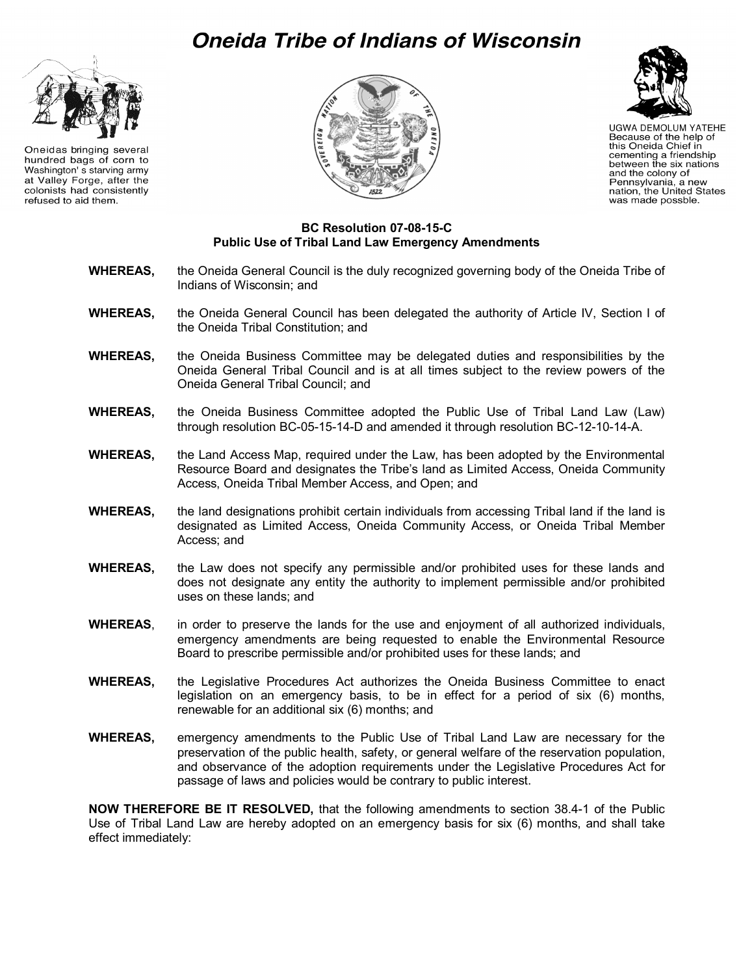## Oneida Tribe of Indians of Wisconsin



Oneidas bringing several hundred bags of corn to Washington' s starving army at Valley Forge, after the colonists had consistently refused to aid them.





**UGWA DEMOLUM YATEHE** Because of the help of this Oneida Chief in cementing a friendship between the six nations<br>and the colony of Pennsylvania, a new nation, the United States was made possble.

## **BC Resolution 07-08-15-C Public Use of Tribal Land Law Emergency Amendments**

- **WHEREAS,** the Oneida General Council is the duly recognized governing body of the Oneida Tribe of Indians of Wisconsin; and
- **WHEREAS,** the Oneida General Council has been delegated the authority of Article IV, Section I of the Oneida Tribal Constitution; and
- **WHEREAS,** the Oneida Business Committee may be delegated duties and responsibilities by the Oneida General Tribal Council and is at all times subject to the review powers of the Oneida General Tribal Council; and
- **WHEREAS,** the Oneida Business Committee adopted the Public Use of Tribal Land Law (Law) through resolution BC-05-15-14-D and amended it through resolution BC-12-10-14-A.
- **WHEREAS,** the Land Access Map, required under the Law, has been adopted by the Environmental Resource Board and designates the Tribe's land as Limited Access, Oneida Community Access, Oneida Tribal Member Access, and Open; and
- **WHEREAS,** the land designations prohibit certain individuals from accessing Tribal land if the land is designated as Limited Access, Oneida Community Access, or Oneida Tribal Member Access; and
- **WHEREAS,** the Law does not specify any permissible and/or prohibited uses for these lands and does not designate any entity the authority to implement permissible and/or prohibited uses on these lands; and
- **WHEREAS**, in order to preserve the lands for the use and enjoyment of all authorized individuals, emergency amendments are being requested to enable the Environmental Resource Board to prescribe permissible and/or prohibited uses for these lands; and
- **WHEREAS,** the Legislative Procedures Act authorizes the Oneida Business Committee to enact legislation on an emergency basis, to be in effect for a period of six (6) months, renewable for an additional six (6) months; and
- **WHEREAS,** emergency amendments to the Public Use of Tribal Land Law are necessary for the preservation of the public health, safety, or general welfare of the reservation population, and observance of the adoption requirements under the Legislative Procedures Act for passage of laws and policies would be contrary to public interest.

**NOW THEREFORE BE IT RESOLVED,** that the following amendments to section 38.4-1 of the Public Use of Tribal Land Law are hereby adopted on an emergency basis for six (6) months, and shall take effect immediately: